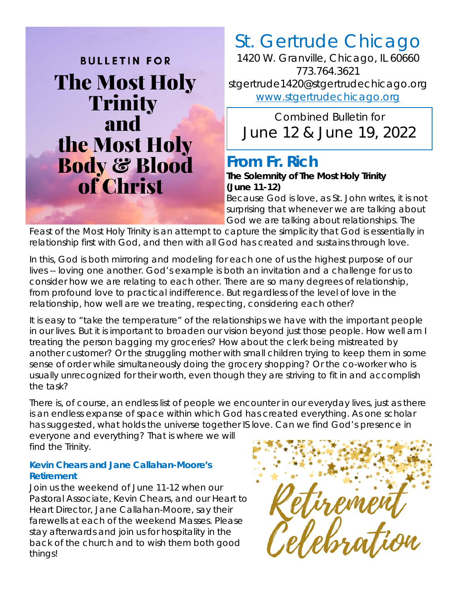

# St. Gertrude Chicago

*1420 W. Granville, Chicago, IL 60660 773.764.3621 stgertrude1420@stgertrudechicago.org www.stgertrudechicago.org*

*Combined Bulletin for*  June 12 & June 19, 2022

#### **From Fr. Rich**

#### **The Solemnity of The Most Holy Trinity (June 11-12)**

Because God is love, as St. John writes, it is not surprising that whenever we are talking about God we are talking about relationships. The

Feast of the Most Holy Trinity is an attempt to capture the simplicity that God is essentially in relationship first with God, and then with all God has created and sustains through love.

In this, God is both mirroring and modeling for each one of us the highest purpose of our lives -- loving one another. God's example is both an invitation and a challenge for us to consider how we are relating to each other. There are so many degrees of relationship, from profound love to practical indifference. But regardless of the level of love in the relationship, how well are we treating, respecting, considering each other?

It is easy to "take the temperature" of the relationships we have with the important people in our lives. But it is important to broaden our vision beyond just those people. How well am I treating the person bagging my groceries? How about the clerk being mistreated by another customer? Or the struggling mother with small children trying to keep them in some sense of order while simultaneously doing the grocery shopping? Or the co-worker who is usually unrecognized for their worth, even though they are striving to fit in and accomplish the task?

There is, of course, an endless list of people we encounter in our everyday lives, just as there is an endless expanse of space within which God has created everything. As one scholar has suggested, what holds the universe together IS love. Can we find God's presence in

everyone and everything? That is where we will find the Trinity.

#### **Kevin Chears and Jane Callahan-Moore's Retirement**

Join us the weekend of June 11-12 when our Pastoral Associate, Kevin Chears, and our Heart to Heart Director, Jane Callahan-Moore, say their farewells at each of the weekend Masses. Please stay afterwards and join us for hospitality in the back of the church and to wish them both good things!

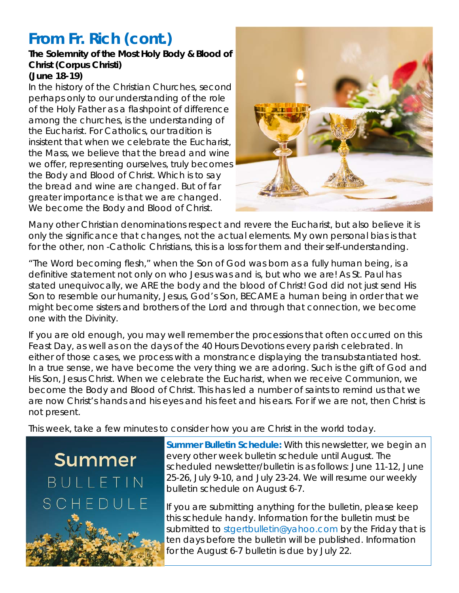# **From Fr. Rich** *(cont.)*

#### **The Solemnity of the Most Holy Body & Blood of Christ (Corpus Christi) (June 18-19)**

In the history of the Christian Churches, second perhaps only to our understanding of the role of the Holy Father as a flashpoint of difference among the churches, is the understanding of the Eucharist. For Catholics, our tradition is insistent that when we celebrate the Eucharist, the Mass, we believe that the bread and wine we offer, representing ourselves, truly becomes the Body and Blood of Christ. Which is to say the bread and wine are changed. But of far greater importance is that we are changed. We become the Body and Blood of Christ.



Many other Christian denominations respect and revere the Eucharist, but also believe it is only the significance that changes, not the actual elements. My own personal bias is that for the other, non -Catholic Christians, this is a loss for them and their self-understanding.

"The Word becoming flesh," when the Son of God was born as a fully human being, is a definitive statement not only on who Jesus was and is, but who we are! As St. Paul has stated unequivocally, we ARE the body and the blood of Christ! God did not just send His Son to resemble our humanity, Jesus, God's Son, BECAME a human being in order that we might become sisters and brothers of the Lord and through that connection, we become one with the Divinity.

If you are old enough, you may well remember the processions that often occurred on this Feast Day, as well as on the days of the 40 Hours Devotions every parish celebrated. In either of those cases, we process with a monstrance displaying the transubstantiated host. In a true sense, we have become the very thing we are adoring. Such is the gift of God and His Son, Jesus Christ. When we celebrate the Eucharist, when we receive Communion, we become the Body and Blood of Christ. This has led a number of saints to remind us that we are now Christ's hands and his eyes and his feet and his ears. For if we are not, then Christ is not present.

This week, take a few minutes to consider how you are Christ in the world today.

Summer  $BUIIFIN$ SCH  $DUIF$  $\vdash$ 

**Summer Bulletin Schedule:** With this newsletter, we begin an every other week bulletin schedule until August. The scheduled newsletter/bulletin is as follows: June 11-12, June 25-26, July 9-10, and July 23-24. We will resume our weekly bulletin schedule on August 6-7.

If you are submitting anything for the bulletin, please keep this schedule handy. Information for the bulletin must be submitted to stgertbulletin@yahoo.com by the Friday that is ten days before the bulletin will be published. Information for the August 6-7 bulletin is due by July 22.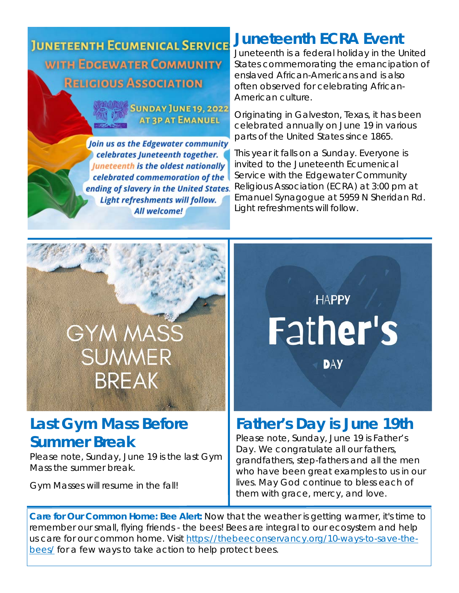**JUNETEENTH ECUMENICAL SERVICE WITH EDGEWATER COMMUNITY RELIGIOUS ASSOCIATION** 



Join us as the Edgewater community celebrates Juneteenth together. **Juneteenth is the oldest nationally** celebrated commemoration of the ending of slavery in the United States. Light refreshments will follow. All welcome!

# **Juneteenth ECRA Event**

Juneteenth is a federal holiday in the United States commemorating the emancipation of enslaved African-Americans and is also often observed for celebrating African-American culture.

Originating in Galveston, Texas, it has been celebrated annually on June 19 in various parts of the United States since 1865.

This year it falls on a Sunday. Everyone is invited to the Juneteenth Ecumenical Service with the Edgewater Community Religious Association (ECRA) at 3:00 pm at Emanuel Synagogue at 5959 N Sheridan Rd. Light refreshments will follow.



#### **Last Gym Mass Before Summer Break**

Please note, Sunday, June 19 is the last Gym Mass the summer break.

Gym Masses will resume in the fall!



#### **Father's Day is June 19th**

Please note, Sunday, June 19 is Father's Day. We congratulate all our fathers, grandfathers, step-fathers and all the men who have been great examples to us in our lives. May God continue to bless each of them with grace, mercy, and love.

**Care for Our Common Home: Bee Alert:** Now that the weather is getting warmer, it's time to remember our small, flying friends - the bees! Bees are integral to our ecosystem and help us care for our common home. Visit https://thebeeconservancy.org/10-ways-to-save-thebees/ for a few ways to take action to help protect bees.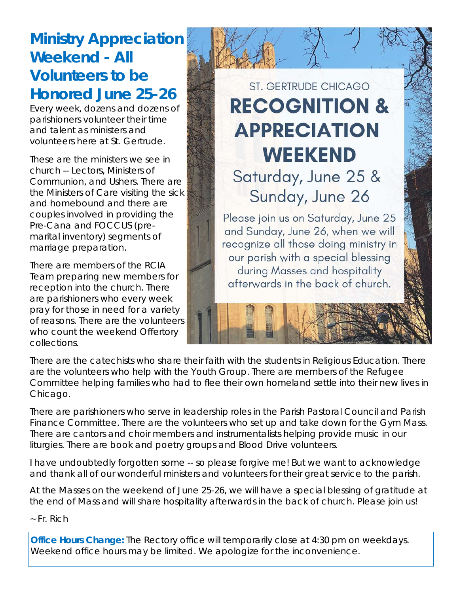# **Ministry Appreciation Weekend - All Volunteers to be Honored June 25-26**

Every week, dozens and dozens of parishioners volunteer their time and talent as ministers and volunteers here at St. Gertrude.

These are the ministers we see in church -- Lectors, Ministers of Communion, and Ushers. There are the Ministers of Care visiting the sick and homebound and there are couples involved in providing the Pre-Cana and FOCCUS (premarital inventory) segments of marriage preparation.

There are members of the RCIA Team preparing new members for reception into the church. There are parishioners who every week pray for those in need for a variety of reasons. There are the volunteers who count the weekend Offertory collections.

# **ST. GERTRUDE CHICAGO RECOGNITION & APPRECIATION WEEKEND**

Saturday, June 25 & Sunday, June 26

Please join us on Saturday, June 25 and Sunday, June 26, when we will recognize all those doing ministry in our parish with a special blessing during Masses and hospitality afterwards in the back of church.

There are the catechists who share their faith with the students in Religious Education. There are the volunteers who help with the Youth Group. There are members of the Refugee Committee helping families who had to flee their own homeland settle into their new lives in Chicago.

There are parishioners who serve in leadership roles in the Parish Pastoral Council and Parish Finance Committee. There are the volunteers who set up and take down for the Gym Mass. There are cantors and choir members and instrumentalists helping provide music in our liturgies. There are book and poetry groups and Blood Drive volunteers.

I have undoubtedly forgotten some -- so please forgive me! But we want to acknowledge and thank all of our wonderful ministers and volunteers for their great service to the parish.

At the Masses on the weekend of June 25-26, we will have a special blessing of gratitude at the end of Mass and will share hospitality afterwards in the back of church. Please join us!

*~ Fr. Rich* 

**Office Hours Change:** The Rectory office will temporarily close at 4:30 pm on weekdays. Weekend office hours may be limited. We apologize for the inconvenience.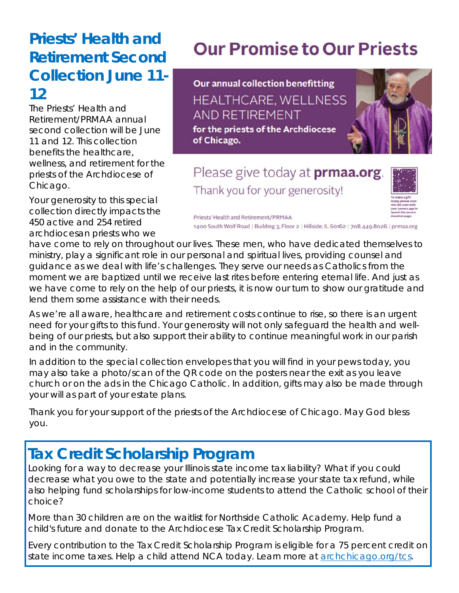### **Priests' Health and Retirement Second Collection June 11- 12**

The Priests' Health and Retirement/PRMAA annual second collection will be June 11 and 12. This collection benefits the healthcare, wellness, and retirement for the priests of the Archdiocese of Chicago.

Your generosity to this special collection directly impacts the 450 active and 254 retired archdiocesan priests who we

# **Our Promise to Our Priests**

**Our annual collection benefitting** HEALTHCARE, WELLNESS AND RETIREMENT for the priests of the Archdiocese of Chicago.

Please give today at **prmaa.org**. Thank you for your generosity!



Priests' Health and Retirement/PRMAA 1400 South Wolf Road | Building 3, Floor 2 | Hillside, IL 60162 | 708.449.8026 | prmaa.org

have come to rely on throughout our lives. These men, who have dedicated themselves to ministry, play a significant role in our personal and spiritual lives, providing counsel and guidance as we deal with life's challenges. They serve our needs as Catholics from the moment we are baptized until we receive last rites before entering eternal life. And just as we have come to rely on the help of our priests, it is now our turn to show our gratitude and lend them some assistance with their needs.

As we're all aware, healthcare and retirement costs continue to rise, so there is an urgent need for your gifts to this fund. Your generosity will not only safeguard the health and wellbeing of our priests, but also support their ability to continue meaningful work in our parish and in the community.

In addition to the special collection envelopes that you will find in your pews today, you may also take a photo/scan of the QR code on the posters near the exit as you leave church or on the ads in the Chicago Catholic. In addition, gifts may also be made through your will as part of your estate plans.

Thank you for your support of the priests of the Archdiocese of Chicago. May God bless you.

# **Tax Credit Scholarship Program**

Looking for a way to decrease your Illinois state income tax liability? What if you could decrease what you owe to the state and potentially increase your state tax refund, while also helping fund scholarships for low-income students to attend the Catholic school of their choice?

More than 30 children are on the waitlist for Northside Catholic Academy. Help fund a child's future and donate to the Archdiocese Tax Credit Scholarship Program.

Every contribution to the Tax Credit Scholarship Program is eligible for a 75 percent credit on state income taxes. Help a child attend NCA today. Learn more at archchicago.org/tcs.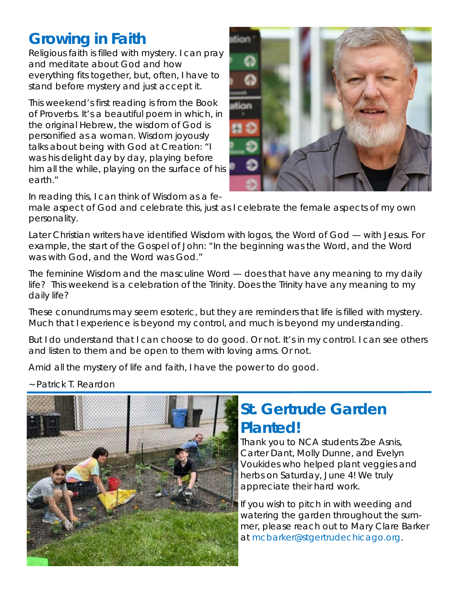### **Growing in Faith**

Religious faith is filled with mystery. I can pray and meditate about God and how everything fits together, but, often, I have to stand before mystery and just accept it.

This weekend's first reading is from the Book of Proverbs. It's a beautiful poem in which, in the original Hebrew, the wisdom of God is personified as a woman. Wisdom joyously talks about being with God at Creation: "I was his delight day by day, playing before him all the while, playing on the surface of his earth."



In reading this, I can think of Wisdom as a fe-

male aspect of God and celebrate this, just as I celebrate the female aspects of my own personality.

Later Christian writers have identified Wisdom with logos, the Word of God — with Jesus. For example, the start of the Gospel of John: "In the beginning was the Word, and the Word was with God, and the Word was God."

The feminine Wisdom and the masculine Word — does that have any meaning to my daily life? This weekend is a celebration of the Trinity. Does the Trinity have any meaning to my daily life?

These conundrums may seem esoteric, but they are reminders that life is filled with mystery. Much that I experience is beyond my control, and much is beyond my understanding.

But I do understand that I can choose to do good. Or not. It's in my control. I can see others and listen to them and be open to them with loving arms. Or not.

Amid all the mystery of life and faith, I have the power to do good.

*~ Patrick T. Reardon* 



# **St. Gertrude Garden Planted!**

Thank you to NCA students Zoe Asnis, Carter Dant, Molly Dunne, and Evelyn Voukides who helped plant veggies and herbs on Saturday, June 4! We truly appreciate their hard work.

If you wish to pitch in with weeding and watering the garden throughout the summer, please reach out to Mary Clare Barker at mcbarker@stgertrudechicago.org.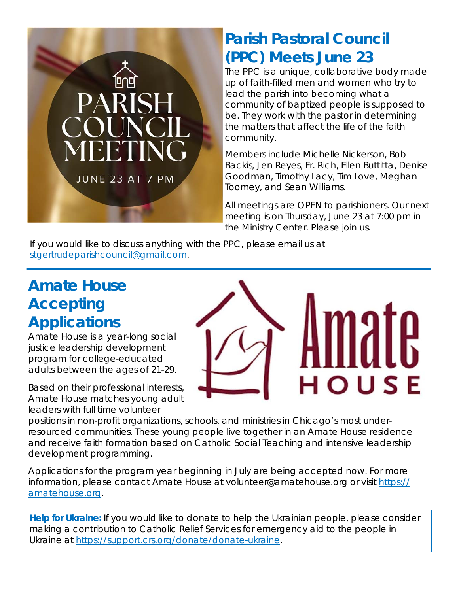

## **Parish Pastoral Council (PPC) Meets June 23**

The PPC is a unique, collaborative body made up of faith-filled men and women who try to lead the parish into becoming what a community of baptized people is supposed to be. They work with the pastor in determining the matters that affect the life of the faith community.

Members include Michelle Nickerson, Bob Backis, Jen Reyes, Fr. Rich, Ellen Buttitta, Denise Goodman, Timothy Lacy, Tim Love, Meghan Toomey, and Sean Williams.

All meetings are OPEN to parishioners. Our next meeting is on Thursday, June 23 at 7:00 pm in the Ministry Center. Please join us.

If you would like to discuss anything with the PPC, please email us at stgertrudeparishcouncil@gmail.com.

### **Amate House Accepting Applications**

Amate House is a year-long social justice leadership development program for college-educated adults between the ages of 21-29.

Based on their professional interests, Amate House matches young adult leaders with full time volunteer

HOUSE

positions in non-profit organizations, schools, and ministries in Chicago's most underresourced communities. These young people live together in an Amate House residence and receive faith formation based on Catholic Social Teaching and intensive leadership development programming.

Applications for the program year beginning in July are being accepted now. For more information, please contact Amate House at volunteer@amatehouse.org or visit https:// amatehouse.org.

**Help for Ukraine:** If you would like to donate to help the Ukrainian people, please consider making a contribution to Catholic Relief Services for emergency aid to the people in Ukraine at https://support.crs.org/donate/donate-ukraine.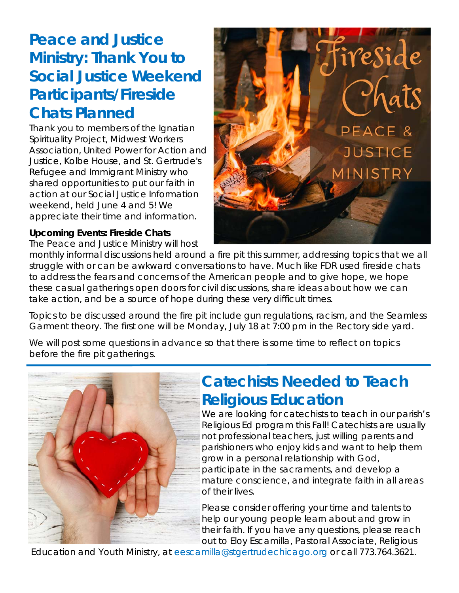### **Peace and Justice Ministry: Thank You to Social Justice Weekend Participants/Fireside Chats Planned**

Thank you to members of the Ignatian Spirituality Project, Midwest Workers Association, United Power for Action and Justice, Kolbe House, and St. Gertrude's Refugee and Immigrant Ministry who shared opportunities to put our faith in action at our Social Justice Information weekend, held June 4 and 5! We appreciate their time and information.

#### **Upcoming Events: Fireside Chats**

The Peace and Justice Ministry will host



monthly informal discussions held around a fire pit this summer, addressing topics that we all struggle with or can be awkward conversations to have. Much like FDR used fireside chats to address the fears and concerns of the American people and to give hope, we hope these casual gatherings open doors for civil discussions, share ideas about how we can take action, and be a source of hope during these very difficult times.

Topics to be discussed around the fire pit include gun regulations, racism, and the Seamless Garment theory. The first one will be Monday, July 18 at 7:00 pm in the Rectory side yard.

We will post some questions in advance so that there is some time to reflect on topics before the fire pit gatherings.



#### **Catechists Needed to Teach Religious Education**

We are looking for catechists to teach in our parish's Religious Ed program this Fall! Catechists are usually not professional teachers, just willing parents and parishioners who enjoy kids and want to help them grow in a personal relationship with God, participate in the sacraments, and develop a mature conscience, and integrate faith in all areas of their lives.

Please consider offering your time and talents to help our young people learn about and grow in their faith. If you have any questions, please reach out to Eloy Escamilla, Pastoral Associate, Religious

Education and Youth Ministry, at eescamilla@stgertrudechicago.org or call 773.764.3621.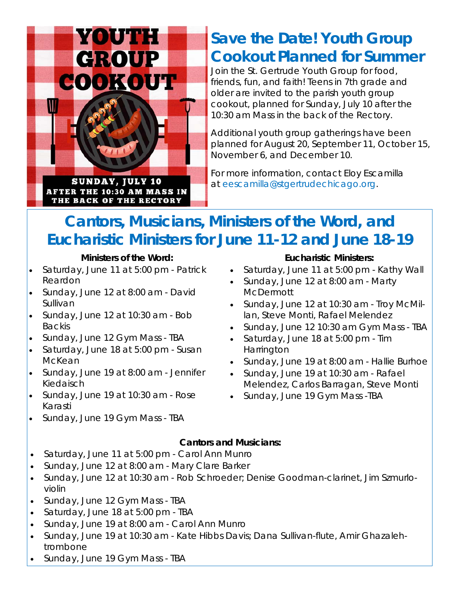

### **Save the Date! Youth Group Cookout Planned for Summer**

Join the St. Gertrude Youth Group for food, friends, fun, and faith! Teens in 7th grade and older are invited to the parish youth group cookout, planned for Sunday, July 10 after the 10:30 am Mass in the back of the Rectory.

Additional youth group gatherings have been planned for August 20, September 11, October 15, November 6, and December 10.

For more information, contact Eloy Escamilla at eescamilla@stgertrudechicago.org.

### **Cantors, Musicians, Ministers of the Word, and Eucharistic Ministers for June 11-12 and June 18-19**

#### **Ministers of the Word:**

 Saturday, June 11 at 5:00 pm - Patrick Reardon

THE BACK OF THE RECTORY

- Sunday, June 12 at 8:00 am David Sullivan
- Sunday, June 12 at 10:30 am Bob Backis
- Sunday, June 12 Gym Mass TBA
- Saturday, June 18 at 5:00 pm Susan McKean
- Sunday, June 19 at 8:00 am Jennifer Kiedaisch
- Sunday, June 19 at 10:30 am Rose Karasti
- Sunday, June 19 Gym Mass TBA

#### **Eucharistic Ministers:**

- Saturday, June 11 at 5:00 pm Kathy Wall
- Sunday, June 12 at 8:00 am Marty **McDermott**
- Sunday, June 12 at 10:30 am Troy McMillan, Steve Monti, Rafael Melendez
- Sunday, June 12 10:30 am Gym Mass TBA
- Saturday, June 18 at 5:00 pm Tim **Harrington**
- Sunday, June 19 at 8:00 am Hallie Burhoe
- Sunday, June 19 at 10:30 am Rafael Melendez, Carlos Barragan, Steve Monti
- Sunday, June 19 Gym Mass -TBA

#### **Cantors and Musicians:**

- Saturday, June 11 at 5:00 pm Carol Ann Munro
- Sunday, June 12 at 8:00 am Mary Clare Barker
- Sunday, June 12 at 10:30 am Rob Schroeder; Denise Goodman-clarinet, Jim Szmurloviolin
- Sunday, June 12 Gym Mass TBA
- Saturday, June 18 at 5:00 pm TBA
- Sunday, June 19 at 8:00 am Carol Ann Munro
- Sunday, June 19 at 10:30 am Kate Hibbs Davis; Dana Sullivan-flute, Amir Ghazalehtrombone
- Sunday, June 19 Gym Mass TBA